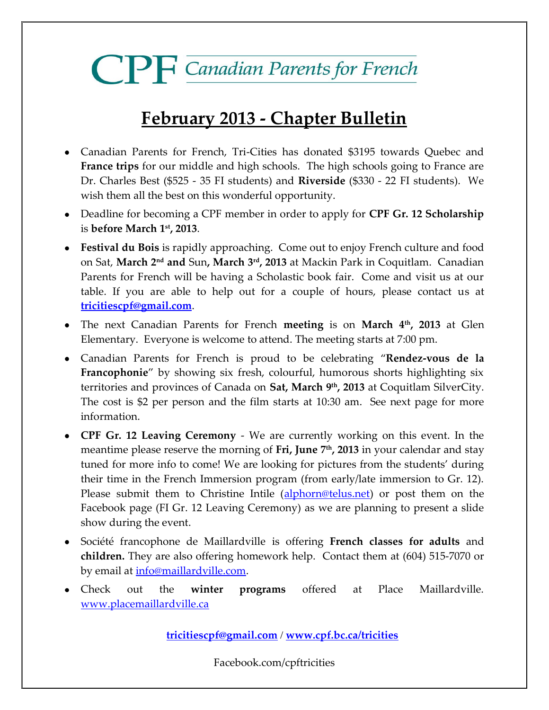# **CPF** Canadian Parents for French

## **February 2013 - Chapter Bulletin**

- Canadian Parents for French, Tri-Cities has donated \$3195 towards Quebec and **France trips** for our middle and high schools. The high schools going to France are Dr. Charles Best (\$525 - 35 FI students) and **Riverside** (\$330 - 22 FI students). We wish them all the best on this wonderful opportunity.
- Deadline for becoming a CPF member in order to apply for **CPF Gr. 12 Scholarship** is **before March 1st, 2013**.
- **Festival du Bois** is rapidly approaching. Come out to enjoy French culture and food on Sat, **March 2nd and** Sun**, March 3 rd , 2013** at Mackin Park in Coquitlam. Canadian Parents for French will be having a Scholastic book fair. Come and visit us at our table. If you are able to help out for a couple of hours, please contact us at **[tricitiescpf@gmail.com](mailto:tricitiescpf@gmail.com)**.
- The next Canadian Parents for French **meeting** is on **March 4th, 2013** at Glen Elementary. Everyone is welcome to attend. The meeting starts at 7:00 pm.
- Canadian Parents for French is proud to be celebrating "**Rendez-vous de la Francophonie**" by showing six fresh, colourful, humorous shorts highlighting six territories and provinces of Canada on **Sat, March 9th, 2013** at Coquitlam SilverCity. The cost is \$2 per person and the film starts at 10:30 am. See next page for more information.
- **CPF Gr. 12 Leaving Ceremony** We are currently working on this event. In the meantime please reserve the morning of **Fri, June 7th, 2013** in your calendar and stay tuned for more info to come! We are looking for pictures from the students' during their time in the French Immersion program (from early/late immersion to Gr. 12). Please submit them to Christine Intile [\(alphorn@telus.net\)](mailto:alphorn@telus.net) or post them on the Facebook page (FI Gr. 12 Leaving Ceremony) as we are planning to present a slide show during the event.
- Société francophone de Maillardville is offering **French classes for adults** and **children.** They are also offering homework help. Contact them at (604) 515-7070 or by email at <u>info@maillardville.com</u>.
- Check out the **winter programs** offered at Place Maillardville. [www.placemaillardville.ca](http://www.placemaillardville.ca/)

**[tricitiescpf@gmail.com](mailto:tricitiescpf@gmail.com)** / **[www.cpf.bc.ca/tricities](http://www.cpf.bc.ca/tricities)**

Facebook.com/cpftricities